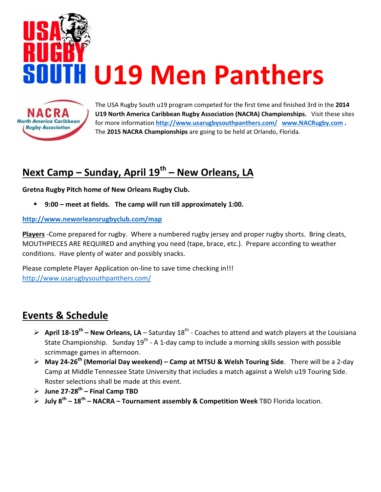

The USA Rugby South u19 program competed for the first time and finished 3rd in the 2014 U19 North America Caribbean Rugby Association (NACRA) Championships. Visit these sites for more information http://www.usarugbysouthpanthers.com/ www.NACRugby.com . The 2015 NACRA Championships are going to be held at Orlando, Florida.

# Next Camp – Sunday, April  $19^{th}$  – New Orleans, LA

Gretna Rugby Pitch home of New Orleans Rugby Club.

9:00 – meet at fields. The camp will run till approximately 1:00.

### http://www.neworleansrugbyclub.com/map

Players -Come prepared for rugby. Where a numbered rugby jersey and proper rugby shorts. Bring cleats, MOUTHPIECES ARE REQUIRED and anything you need (tape, brace, etc.). Prepare according to weather conditions. Have plenty of water and possibly snacks.

Please complete Player Application on-line to save time checking in!!! http://www.usarugbysouthpanthers.com/

## Events & Schedule

**North America Caribbean Rugby Association** 

- $\triangleright$  April 18-19<sup>th</sup> New Orleans, LA Saturday 18<sup>th</sup> Coaches to attend and watch players at the Louisiana State Championship. Sunday  $19^{th}$  - A 1-day camp to include a morning skills session with possible scrimmage games in afternoon.
- > May 24-26<sup>th</sup> (Memorial Day weekend) Camp at MTSU & Welsh Touring Side. There will be a 2-day Camp at Middle Tennessee State University that includes a match against a Welsh u19 Touring Side. Roster selections shall be made at this event.
- $\triangleright$  June 27-28<sup>th</sup> Final Camp TBD
- > July  $8^{th}$   $18^{th}$  NACRA Tournament assembly & Competition Week TBD Florida location.